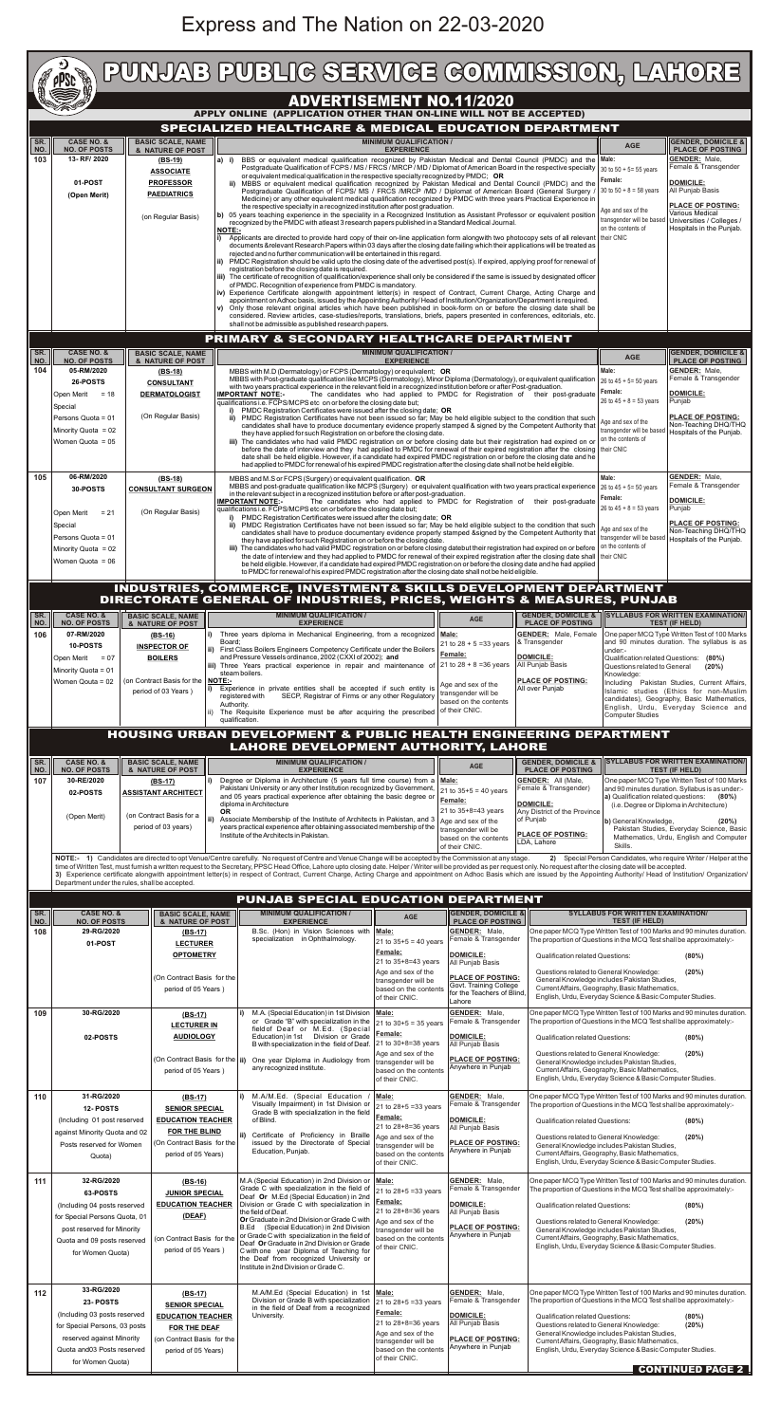## Express and The Nation on 22-03-2020

|                                                                    | <b>COLOR</b><br>pPSc                                                                                                |                                                                                                                                                                                                    | PUNJAB PUBLIG SERVIGE GOMMISSION, LAHORE                                                                                                                                                                                                                                                                                                                                                                                                                                                                                                                                                                                                                                                                                                                                                                                                                                                                         |                                                                                                                                                                                                                      |                                                                                                          |                           |                                                                   |  |  |  |  |  |  |
|--------------------------------------------------------------------|---------------------------------------------------------------------------------------------------------------------|----------------------------------------------------------------------------------------------------------------------------------------------------------------------------------------------------|------------------------------------------------------------------------------------------------------------------------------------------------------------------------------------------------------------------------------------------------------------------------------------------------------------------------------------------------------------------------------------------------------------------------------------------------------------------------------------------------------------------------------------------------------------------------------------------------------------------------------------------------------------------------------------------------------------------------------------------------------------------------------------------------------------------------------------------------------------------------------------------------------------------|----------------------------------------------------------------------------------------------------------------------------------------------------------------------------------------------------------------------|----------------------------------------------------------------------------------------------------------|---------------------------|-------------------------------------------------------------------|--|--|--|--|--|--|
| <b>ADVERTISEMENT NO.11/2020</b>                                    |                                                                                                                     |                                                                                                                                                                                                    |                                                                                                                                                                                                                                                                                                                                                                                                                                                                                                                                                                                                                                                                                                                                                                                                                                                                                                                  |                                                                                                                                                                                                                      |                                                                                                          |                           |                                                                   |  |  |  |  |  |  |
| APPLY ONLINE (APPLICATION OTHER THAN ON-LINE WILL NOT BE ACCEPTED) |                                                                                                                     |                                                                                                                                                                                                    |                                                                                                                                                                                                                                                                                                                                                                                                                                                                                                                                                                                                                                                                                                                                                                                                                                                                                                                  |                                                                                                                                                                                                                      |                                                                                                          |                           |                                                                   |  |  |  |  |  |  |
| SPECIALIZED HEALTHCARE & MEDICAL EDUCATION DEPARTMENT              |                                                                                                                     |                                                                                                                                                                                                    |                                                                                                                                                                                                                                                                                                                                                                                                                                                                                                                                                                                                                                                                                                                                                                                                                                                                                                                  |                                                                                                                                                                                                                      |                                                                                                          |                           |                                                                   |  |  |  |  |  |  |
| SR.<br>NO.                                                         | <b>CASE NO. &amp;</b><br><b>NO. OF POSTS</b>                                                                        | <b>BASIC SCALE, NAME</b><br>& NATURE OF POST                                                                                                                                                       | <b>MINIMUM QUALIFICATION /</b><br><b>EXPERIENCE</b>                                                                                                                                                                                                                                                                                                                                                                                                                                                                                                                                                                                                                                                                                                                                                                                                                                                              |                                                                                                                                                                                                                      |                                                                                                          | <b>AGE</b>                | <b>GENDER, DOMICILE &amp;</b><br><b>PLACE OF POSTING</b>          |  |  |  |  |  |  |
| 103                                                                | 13-RF/2020                                                                                                          | $(BS-19)$                                                                                                                                                                                          | BBS or equivalent medical qualification recognized by Pakistan Medical and Dental Council (PMDC) and the Male:<br>a) i)                                                                                                                                                                                                                                                                                                                                                                                                                                                                                                                                                                                                                                                                                                                                                                                          |                                                                                                                                                                                                                      |                                                                                                          |                           | <b>GENDER: Male,</b>                                              |  |  |  |  |  |  |
|                                                                    | 01-POST<br>(Open Merit)                                                                                             | <b>ASSOCIATE</b><br><b>PROFESSOR</b><br><b>PAEDIATRICS</b>                                                                                                                                         | Postgraduate Qualification of FCPS / MS / FRCS / MRCP / MD / Diplomat of American Board in the respective specialty   30 to 50 + 5= 55 years<br>or equivalent medical qualification in the respective specialty recognized by PMDC; OR<br>MBBS or equivalent medical qualification recognized by Pakistan Medical and Dental Council (PMDC) and the<br>ii)<br>Postgraduate Qualification of FCPS/ MS / FRCS /MRCP /MD / Diplomat of American Board (General Surgery /<br>Medicine) or any other equivalent medical qualification recognized by PMDC with three years Practical Experience in<br>the respective specialty in a recognized institution after post graduation.                                                                                                                                                                                                                                      | Female:<br>30 to $50 + 8 = 58$ years                                                                                                                                                                                 | Female & Transgender<br><b>DOMICILE:</b><br>All Punjab Basis<br><b>PLACE OF POSTING:</b>                 |                           |                                                                   |  |  |  |  |  |  |
|                                                                    |                                                                                                                     | (on Regular Basis)                                                                                                                                                                                 | b) 05 years teaching experience in the speciality in a Recognized Institution as Assistant Professor or equivalent position<br>recognized by the PMDC with atleast 3 research papers published in a Standard Medical Journal.<br>NOTE:-<br>Applicants are directed to provide hard copy of their on-line application form alongwith two photocopy sets of all relevant their CNIC<br>i)<br>documents &relevant Research Papers within 03 days after the closing date failing which their applications will be treated as<br>rejected and no further communication will be entertained in this regard.<br>ii) PMDC Registration should be valid upto the closing date of the advertised post(s). If expired, applying proof for renewal of                                                                                                                                                                        | Age and sex of the<br>transgender will be base<br>on the contents of                                                                                                                                                 | Various Medical<br>Universities / Colleges /<br>Hospitals in the Punjab.                                 |                           |                                                                   |  |  |  |  |  |  |
|                                                                    |                                                                                                                     |                                                                                                                                                                                                    | registration before the closing date is required.<br>iii) The certificate of recognition of qualification/experience shall only be considered if the same is issued by designated officer<br>of PMDC. Recognition of experience from PMDC is mandatory.<br>iv) Experience Certificate alongwith appointment letter(s) in respect of Contract, Current Charge, Acting Charge and<br>appointment on Adhoc basis, issued by the Appointing Authority/ Head of Institution/Organization/Department is required.<br>v) Only those relevant original articles which have been published in book-form on or before the closing date shall be<br>considered. Review articles, case-studies/reports, translations, briefs, papers presented in conferences, editorials, etc.<br>shall not be admissible as published research papers.                                                                                     |                                                                                                                                                                                                                      |                                                                                                          |                           |                                                                   |  |  |  |  |  |  |
|                                                                    |                                                                                                                     |                                                                                                                                                                                                    | PRIMARY & SECONDARY HEALTHCARE DEPARTMENT                                                                                                                                                                                                                                                                                                                                                                                                                                                                                                                                                                                                                                                                                                                                                                                                                                                                        |                                                                                                                                                                                                                      |                                                                                                          |                           |                                                                   |  |  |  |  |  |  |
| SR.<br>  NO.                                                       | <b>CASE NO. &amp;</b><br><b>NO. OF POSTS</b>                                                                        | <b>BASIC SCALE, NAME</b><br>& NATURE OF POST                                                                                                                                                       | <b>MINIMUM QUALIFICATION /</b><br><b>EXPERIENCE</b>                                                                                                                                                                                                                                                                                                                                                                                                                                                                                                                                                                                                                                                                                                                                                                                                                                                              |                                                                                                                                                                                                                      |                                                                                                          | <b>AGE</b>                | <b>GENDER, DOMICILE &amp;</b><br><b>PLACE OF POSTING</b>          |  |  |  |  |  |  |
| 104                                                                | 05-RM/2020                                                                                                          | $(BS-18)$                                                                                                                                                                                          | MBBS with M.D (Dermatology) or FCPS (Dermatology) or equivalent; OR                                                                                                                                                                                                                                                                                                                                                                                                                                                                                                                                                                                                                                                                                                                                                                                                                                              |                                                                                                                                                                                                                      |                                                                                                          | Male:                     | <b>GENDER: Male.</b>                                              |  |  |  |  |  |  |
|                                                                    | 26-POSTS                                                                                                            | <b>CONSULTANT</b>                                                                                                                                                                                  | MBBS with Post-graduate qualification like MCPS (Dermatology), Minor Diploma (Dermatology), or equivalent qualification<br>with two years practical experience in the relevant field in a recognized institution before or after Post-graduation.                                                                                                                                                                                                                                                                                                                                                                                                                                                                                                                                                                                                                                                                |                                                                                                                                                                                                                      |                                                                                                          | 26 to $45 + 5 = 50$ years | Female & Transgender                                              |  |  |  |  |  |  |
|                                                                    | Open Merit<br>$= 18$                                                                                                | <b>DERMATOLOGIST</b>                                                                                                                                                                               | The candidates who had applied to PMDC for Registration of their post-graduate<br><b>IMPORTANT NOTE:-</b><br>qualifications i.e. FCPS/MCPS etc on or before the closing date but;                                                                                                                                                                                                                                                                                                                                                                                                                                                                                                                                                                                                                                                                                                                                | Female:<br>26 to $45 + 8 = 53$ years                                                                                                                                                                                 | <b>DOMICILE:</b><br>Punjab                                                                               |                           |                                                                   |  |  |  |  |  |  |
|                                                                    | Special<br>Persons Quota = 01<br>Minority Quota = 02<br>Women Quota = $05$                                          | (On Regular Basis)                                                                                                                                                                                 | PMDC Registration Certificates were issued after the closing date; OR<br>PMDC Registration Certificates have not been issued so far; May be held eligible subject to the condition that such<br>ii)<br>candidates shall have to produce documentary evidence properly stamped & signed by the Competent Authority that<br>they have applied for such Registration on or before the closing date.<br>iii) The candidates who had valid PMDC registration on or before closing date but their registration had expired on or<br>before the date of interview and they had applied to PMDC for renewal of their expired registration after the closing their CNIC<br>date shall be held eligible. However, if a candidate had expired PMDC registration on or before the closing date and he<br>had applied to PMDC for renewal of his expired PMDC registration after the closing date shall not be held eligible. | Age and sex of the<br>on the contents of                                                                                                                                                                             | <b>PLACE OF POSTING:</b><br>Non-Teaching DHQ/THQ<br>transgender will be based   Hospitals of the Punjab. |                           |                                                                   |  |  |  |  |  |  |
| 105                                                                | 06-RM/2020                                                                                                          | $(BS-18)$                                                                                                                                                                                          | MBBS and M.S or FCPS (Surgery) or equivalent qualification. OR                                                                                                                                                                                                                                                                                                                                                                                                                                                                                                                                                                                                                                                                                                                                                                                                                                                   |                                                                                                                                                                                                                      |                                                                                                          | Male:                     | <b>GENDER: Male,</b>                                              |  |  |  |  |  |  |
|                                                                    | 30-POSTS                                                                                                            | <b>CONSULTANT SURGEON</b>                                                                                                                                                                          | Female & Transgender<br>MBBS and post-graduate qualification like MCPS (Surgery) or equivalent qualification with two years practical experience<br>26 to $45 + 5 = 50$ years<br>in the relevant subject in a recognized institution before or after post-graduation.<br>Female:<br><b>DOMICILE:</b><br>The candidates who had applied to PMDC for Registration of their post-graduate<br><b>IMPORTANT NOTE:-</b><br>26 to $45 + 8 = 53$ years<br>Punjab<br>qualifications i.e. FCPS/MCPS etc on or before the closing date but;                                                                                                                                                                                                                                                                                                                                                                                 |                                                                                                                                                                                                                      |                                                                                                          |                           |                                                                   |  |  |  |  |  |  |
|                                                                    | $= 21$<br>Open Merit<br>Special<br>Persons Quota = 01<br>Minority Quota = 02<br>Women Quota = 06                    | (On Regular Basis)                                                                                                                                                                                 | PMDC Registration Certificates were issued after the closing date; OR<br>ii) PMDC Registration Certificates have not been issued so far; May be held eligible subject to the condition that such<br>candidates shall have to produce documentary evidence properly stamped &signed by the Competent Authority that<br>they have applied for such Registration on or before the closing date.<br>iii) The candidates who had valid PMDC registration on or before closing datebut their registration had expired on or before<br>the date of interview and they had applied to PMDC for renewal of their expired registration after the closing date shall their CNIC<br>be held eligible. However, if a candidate had expired PMDC registration on or before the closing date and he had applied<br>to PMDC for renewal of his expired PMDC registration after the closing date shall not be held eligible.      | Age and sex of the<br>transgender will be based<br>on the contents of                                                                                                                                                | <b>PLACE OF POSTING:</b><br>Non-Teaching DHQ/THQ<br>Hospitals of the Punjab.                             |                           |                                                                   |  |  |  |  |  |  |
|                                                                    | INDUSTRIES, COMMERCE, INVESTMENT& SKILLS DEVELOPMENT DEPARTMENT                                                     |                                                                                                                                                                                                    |                                                                                                                                                                                                                                                                                                                                                                                                                                                                                                                                                                                                                                                                                                                                                                                                                                                                                                                  |                                                                                                                                                                                                                      |                                                                                                          |                           |                                                                   |  |  |  |  |  |  |
|                                                                    |                                                                                                                     |                                                                                                                                                                                                    | <b>DIRECTORATE GENERAL OF INDUSTRIES, PRICES, WEIGHTS &amp; MEASURES, PUNJAB</b>                                                                                                                                                                                                                                                                                                                                                                                                                                                                                                                                                                                                                                                                                                                                                                                                                                 |                                                                                                                                                                                                                      |                                                                                                          |                           |                                                                   |  |  |  |  |  |  |
| SR.<br>NO.                                                         | <b>CASE NO. &amp;</b><br><b>NO. OF POSTS</b>                                                                        | <b>BASIC SCALE, NAME</b><br>& NATURE OF POST                                                                                                                                                       | <b>MINIMUM QUALIFICATION /</b><br><b>EXPERIENCE</b>                                                                                                                                                                                                                                                                                                                                                                                                                                                                                                                                                                                                                                                                                                                                                                                                                                                              | <b>AGE</b>                                                                                                                                                                                                           | <b>GENDER, DOMICILE &amp;</b><br><b>PLACE OF POSTING</b>                                                 |                           | <b>SYLLABUS FOR WRITTEN EXAMINATION/</b><br><b>TEST (IF HELD)</b> |  |  |  |  |  |  |
| 106                                                                | 07-RM/2020                                                                                                          | $(BS-16)$                                                                                                                                                                                          | i) Three years diploma in Mechanical Engineering, from a recognized                                                                                                                                                                                                                                                                                                                                                                                                                                                                                                                                                                                                                                                                                                                                                                                                                                              | Male:                                                                                                                                                                                                                | <b>GENDER:</b> Male, Female                                                                              |                           | One paper MCQ Type Written Test of 100 Marks                      |  |  |  |  |  |  |
|                                                                    | 10-POSTS                                                                                                            | <b>INSPECTOR OF</b>                                                                                                                                                                                | Board;<br>ii) First Class Boilers Engineers Competency Certificate under the Boilers                                                                                                                                                                                                                                                                                                                                                                                                                                                                                                                                                                                                                                                                                                                                                                                                                             | 21 to $28 + 5 = 33$ years                                                                                                                                                                                            | & Transgender                                                                                            | under:-                   | and 90 minutes duration. The syllabus is as                       |  |  |  |  |  |  |
|                                                                    | Open Merit<br>Minority Quota = 01                                                                                   | Female:<br>and Pressure Vessels ordinance, 2002 (CXXI of 2002); and<br><b>BOILERS</b><br>$= 07$<br>21 to $28 + 8 = 36$ years<br>iii) Three Years practical experience in repair and maintenance of |                                                                                                                                                                                                                                                                                                                                                                                                                                                                                                                                                                                                                                                                                                                                                                                                                                                                                                                  | <b>DOMICILE:</b><br>All Punjab Basis                                                                                                                                                                                 | Qualification related Questions: (80%)<br>Questions related to General<br>(20%)                          |                           |                                                                   |  |  |  |  |  |  |
|                                                                    | Women Qouta = 02                                                                                                    | (on Contract Basis for the<br>period of 03 Years)                                                                                                                                                  | steam boilers.<br><b>NOTE:-</b><br>i) Experience in private entities shall be accepted if such entity is<br>SECP, Registrar of Firms or any other Regulatory<br>registered with<br>Authority.<br>ii) The Requisite Experience must be after acquiring the prescribed<br>qualification.                                                                                                                                                                                                                                                                                                                                                                                                                                                                                                                                                                                                                           | Knowledge:<br>Including Pakistan Studies, Current Affairs,<br>Islamic studies (Ethics for non-Muslim<br>candidates), Geography, Basic Mathematics,<br>English, Urdu, Everyday Science and<br><b>Computer Studies</b> |                                                                                                          |                           |                                                                   |  |  |  |  |  |  |
|                                                                    | <b>HOUSING URBAN DEVELOPMENT &amp; PUBLIC HEALTH ENGINEERING DEPARTMENT</b><br>LAHORE DEVELOPMENT AUTHORITY, LAHORE |                                                                                                                                                                                                    |                                                                                                                                                                                                                                                                                                                                                                                                                                                                                                                                                                                                                                                                                                                                                                                                                                                                                                                  |                                                                                                                                                                                                                      |                                                                                                          |                           |                                                                   |  |  |  |  |  |  |
| SR.<br>NO.                                                         | <b>CASE NO. &amp;</b><br><b>NO. OF POSTS</b>                                                                        | <b>BASIC SCALE, NAME</b><br>& NATURE OF POST                                                                                                                                                       | <b>MINIMUM QUALIFICATION /</b><br><b>EXPERIENCE</b>                                                                                                                                                                                                                                                                                                                                                                                                                                                                                                                                                                                                                                                                                                                                                                                                                                                              | <b>AGE</b>                                                                                                                                                                                                           | <b>GENDER, DOMICILE &amp;</b><br><b>PLACE OF POSTING</b>                                                 |                           | <b>SYLLABUS FOR WRITTEN EXAMINATION/</b><br><b>TEST (IF HELD)</b> |  |  |  |  |  |  |

| 107        | 30-RE/2020<br>$(BS-17)$<br>02-POSTS<br><b>ASSISTANT ARCHITECT</b><br>(on Contract Basis for a<br>(Open Merit)<br>period of 03 years)                                     |                                                                            | <b>OR</b>                                                                                                                                  | Degree or Diploma in Architecture (5 years full time course) from a Male:<br>Pakistani University or any other Institution recognized by Government,<br>and 05 years practical experience after obtaining the basic degree or<br>diploma in Architecture<br>ii) Associate Membership of the Institute of Architects in Pakistan, and 3<br>years practical experience after obtaining associated membership of the<br>Institute of the Architects in Pakistan.<br>NOTE:- 1) Candidates are directed to opt Venue/Centre carefully. No request of Centre and Venue Change will be accepted by the Commission at any stage.<br>time of Written Test, must furnish a written request to the Secretary, PPSC Head Office, Lahore upto closing date. Helper / Writer will be provided as per request only. No request after the closing date will be accepted.<br>3) Experience certificate alongwith appointment letter(s) in respect of Contract, Current Charge, Acting Charge and appointment on Adhoc Basis which are issued by the Appointing Authority/ Head of Institution/ Organization |                                                                                                                                                            | 21 to $35+5 = 40$ years<br>Female:<br>21 to 35+8=43 years<br>Age and sex of the<br>transgender will be<br>based on the contents<br>of their CNIC. | GENDER: All (Male,<br>One paper MCQ Type Written Test of 100 Marks<br>and 90 minutes duration. Syllabus is as under:-<br>Female & Transgender)<br>a) Qualification related questions:<br>(80%)<br><b>DOMICILE:</b><br>(i.e. Degree or Diploma in Architecture)<br>Any District of the Province<br>of Punjab<br>b) General Knowledge,<br>(20%)<br>Pakistan Studies, Everyday Science, Basic<br><b>PLACE OF POSTING:</b><br>Mathematics, Urdu, English and Computer<br>LDA, Lahore<br>Skills.<br>2) Special Person Candidates, who require Writer / Helper at the |  |  |  |  |  |
|------------|--------------------------------------------------------------------------------------------------------------------------------------------------------------------------|----------------------------------------------------------------------------|--------------------------------------------------------------------------------------------------------------------------------------------|--------------------------------------------------------------------------------------------------------------------------------------------------------------------------------------------------------------------------------------------------------------------------------------------------------------------------------------------------------------------------------------------------------------------------------------------------------------------------------------------------------------------------------------------------------------------------------------------------------------------------------------------------------------------------------------------------------------------------------------------------------------------------------------------------------------------------------------------------------------------------------------------------------------------------------------------------------------------------------------------------------------------------------------------------------------------------------------------|------------------------------------------------------------------------------------------------------------------------------------------------------------|---------------------------------------------------------------------------------------------------------------------------------------------------|-----------------------------------------------------------------------------------------------------------------------------------------------------------------------------------------------------------------------------------------------------------------------------------------------------------------------------------------------------------------------------------------------------------------------------------------------------------------------------------------------------------------------------------------------------------------|--|--|--|--|--|
|            | Department under the rules, shall be accepted.<br>PUNJAB SPECIAL EDUCATION DEPARTMENT                                                                                    |                                                                            |                                                                                                                                            |                                                                                                                                                                                                                                                                                                                                                                                                                                                                                                                                                                                                                                                                                                                                                                                                                                                                                                                                                                                                                                                                                            |                                                                                                                                                            |                                                                                                                                                   |                                                                                                                                                                                                                                                                                                                                                                                                                                                                                                                                                                 |  |  |  |  |  |
| SR.<br>NO. | <b>CASE NO. &amp;</b><br><b>NO. OF POSTS</b>                                                                                                                             |                                                                            | <b>BASIC SCALE, NAME</b><br>& NATURE OF POST                                                                                               | <b>MINIMUM QUALIFICATION /</b><br><b>EXPERIENCE</b>                                                                                                                                                                                                                                                                                                                                                                                                                                                                                                                                                                                                                                                                                                                                                                                                                                                                                                                                                                                                                                        | <b>AGE</b>                                                                                                                                                 | <b>GENDER, DOMICILE &amp;</b><br><b>PLACE OF POSTING</b>                                                                                          | <b>SYLLABUS FOR WRITTEN EXAMINATION/</b><br><b>TEST (IF HELD)</b>                                                                                                                                                                                                                                                                                                                                                                                                                                                                                               |  |  |  |  |  |
| 108        | 29-RG/2020<br>01-POST                                                                                                                                                    |                                                                            | (BS-17)<br><b>LECTURER</b><br><b>OPTOMETRY</b>                                                                                             | B.Sc. (Hon) in Vision Sciences with   Male:<br>specialization in Ophthalmology.                                                                                                                                                                                                                                                                                                                                                                                                                                                                                                                                                                                                                                                                                                                                                                                                                                                                                                                                                                                                            | 21 to $35+5 = 40$ years<br>Female:                                                                                                                         | GENDER: Male,<br>Female & Transgender<br><b>DOMICILE:</b>                                                                                         | One paper MCQ Type Written Test of 100 Marks and 90 minutes duration.<br>The proportion of Questions in the MCQ Test shall be approximately:-<br>(80%)<br><b>Qualification related Questions:</b>                                                                                                                                                                                                                                                                                                                                                               |  |  |  |  |  |
|            |                                                                                                                                                                          |                                                                            | (On Contract Basis for the<br>period of 05 Years)                                                                                          |                                                                                                                                                                                                                                                                                                                                                                                                                                                                                                                                                                                                                                                                                                                                                                                                                                                                                                                                                                                                                                                                                            | 21 to 35+8=43 years<br>Age and sex of the<br>transgender will be<br>based on the contents<br>of their CNIC.                                                | All Punjab Basis<br><b>PLACE OF POSTING:</b><br>Govt. Training College<br>for the Teachers of Blind,<br>Lahore                                    | (20%)<br>Questions related to General Knowledge:<br>General Knowledge includes Pakistan Studies,<br>Current Affairs, Geography, Basic Mathematics,<br>English, Urdu, Everyday Science & Basic Computer Studies.                                                                                                                                                                                                                                                                                                                                                 |  |  |  |  |  |
| 109        | 30-RG/2020<br>02-POSTS                                                                                                                                                   | $(BS-17)$<br><b>LECTURER IN</b><br><b>AUDIOLOGY</b><br>period of 05 Years) |                                                                                                                                            | M.A. (Special Education) in 1st Division<br>or Grade "B" with specialization in the<br>field of Deaf or M.Ed. (Special<br>Education) in 1st  Division or Grade<br>B with specialization in the field of Deaf.<br>(On Contract Basis for the   ii) One year Diploma in Audiology from<br>any recognized institute.                                                                                                                                                                                                                                                                                                                                                                                                                                                                                                                                                                                                                                                                                                                                                                          | Male:<br>$21$ to 30+5 = 35 years<br>Female:<br>21 to 30+8=38 years<br>Age and sex of the<br>transgender will be<br>based on the contents<br>of their CNIC. | <b>GENDER: Male.</b><br>Female & Transgender<br><b>DOMICILE:</b><br>All Punjab Basis<br>PLACE OF POSTING:<br>Anywhere in Punjab                   | One paper MCQ Type Written Test of 100 Marks and 90 minutes duration.<br>The proportion of Questions in the MCQ Test shall be approximately:-<br><b>Qualification related Questions:</b><br>(80%)<br>Questions related to General Knowledge:<br>(20%)<br>General Knowledge includes Pakistan Studies,<br>Current Affairs, Geography, Basic Mathematics,<br>English, Urdu, Everyday Science & Basic Computer Studies.                                                                                                                                            |  |  |  |  |  |
| 110        | 31-RG/2020<br>12- POSTS<br>(Including 01 post reserved<br>against Minority Quota and 02<br>Posts reserved for Women<br>Quota)                                            |                                                                            | $(BS-17)$<br><b>SENIOR SPECIAL</b><br><b>EDUCATION TEACHER</b><br>FOR THE BLIND<br>(On Contract Basis for the<br>period of 05 Years)       | M.A/M.Ed. (Special Education<br>i)<br>Visually Impairment) in 1st Division or<br>Grade B with specialization in the field<br>of Blind.<br>ii) Certificate of Proficiency in Braille<br>issued by the Directorate of Special<br>Education, Punjab.                                                                                                                                                                                                                                                                                                                                                                                                                                                                                                                                                                                                                                                                                                                                                                                                                                          | Male:<br>21 to 28+5 = 33 years<br>Female:<br>21 to 28+8=36 years<br>Age and sex of the<br>transgender will be<br>based on the contents<br>of their CNIC.   | GENDER: Male,<br>Female & Transgender<br><b>DOMICILE:</b><br>All Punjab Basis<br><b>PLACE OF POSTING:</b><br>Anywhere in Punjab                   | One paper MCQ Type Written Test of 100 Marks and 90 minutes duration.<br>The proportion of Questions in the MCQ Test shall be approximately:-<br><b>Qualification related Questions:</b><br>(80%)<br>Questions related to General Knowledge:<br>(20%)<br>General Knowledge includes Pakistan Studies,<br>Current Affairs, Geography, Basic Mathematics,<br>English, Urdu, Everyday Science & Basic Computer Studies.                                                                                                                                            |  |  |  |  |  |
| 111        | 32-RG/2020<br>63-POSTS<br>(Including 04 posts reserved<br>for Special Persons Quota, 01<br>post reserved for Minority<br>Quota and 09 posts reserved<br>for Women Quota) |                                                                            | $(BS-16)$<br><b>JUNIOR SPECIAL</b><br><b>EDUCATION TEACHER</b><br>(DEAF)<br>(on Contract Basis for the<br>period of 05 Years)              | M.A (Special Education) in 2nd Division or   Male:<br>Grade C with specialization in the field of<br>Deaf Or M.Ed (Special Education) in 2nd<br>Division or Grade C with specialization in<br>the field of Deaf.<br>Or Graduate in 2nd Division or Grade C with $ _{\text{Age}}$ and sex of the<br>B.Ed (Special Education) in 2nd Division<br>or Grade C with specialization in the field of<br>Deaf Or Graduate in 2nd Division or Grade<br>C with one year Diploma of Teaching for<br>the Deaf from recognized University or<br>Institute in 2nd Division or Grade C.                                                                                                                                                                                                                                                                                                                                                                                                                                                                                                                   | 21 to $28+5 = 33$ years<br>Female:<br>21 to 28+8=36 years<br>transgender will be<br>based on the contents<br>of their CNIC.                                | <b>GENDER:</b> Male,<br>Female & Transgender<br><b>DOMICILE:</b><br>All Punjab Basis<br><b>PLACE OF POSTING:</b><br>Anywhere in Punjab            | One paper MCQ Type Written Test of 100 Marks and 90 minutes duration.<br>The proportion of Questions in the MCQ Test shall be approximately:-<br><b>Qualification related Questions:</b><br>(80%)<br>(20%)<br>Questions related to General Knowledge:<br>General Knowledge includes Pakistan Studies,<br>Current Affairs, Geography, Basic Mathematics,<br>English, Urdu, Everyday Science & Basic Computer Studies.                                                                                                                                            |  |  |  |  |  |
| $112$      | 33-RG/2020<br>23- POSTS<br>(Including 03 posts reserved<br>for Special Persons, 03 posts<br>reserved against Minority<br>Quota and 03 Posts reserved<br>for Women Quota) |                                                                            | $(BS-17)$<br><b>SENIOR SPECIAL</b><br><b>EDUCATION TEACHER</b><br><b>FOR THE DEAF</b><br>(on Contract Basis for the<br>period of 05 Years) | M.A/M.Ed (Special Education) in 1st   Male:<br>Division or Grade B with specialization<br>in the field of Deaf from a recognized<br>University.                                                                                                                                                                                                                                                                                                                                                                                                                                                                                                                                                                                                                                                                                                                                                                                                                                                                                                                                            | 21 to 28+5 = 33 years<br>Female:<br>21 to 28+8=36 years<br>Age and sex of the<br>transgender will be<br>based on the contents<br>of their CNIC.            | GENDER: Male,<br>Female & Transgender<br><b>DOMICILE:</b><br>All Punjab Basis<br><b>PLACE OF POSTING:</b><br>Anywhere in Punjab                   | One paper MCQ Type Written Test of 100 Marks and 90 minutes duration.<br>The proportion of Questions in the MCQ Test shall be approximately:-<br><b>Qualification related Questions:</b><br>(80%)<br>Questions related to General Knowledge:<br>(20%)<br>General Knowledge includes Pakistan Studies,<br>Current Affairs, Geography, Basic Mathematics,<br>English, Urdu, Everyday Science & Basic Computer Studies.<br><b>CONTINUED PAGE 2 !</b>                                                                                                               |  |  |  |  |  |